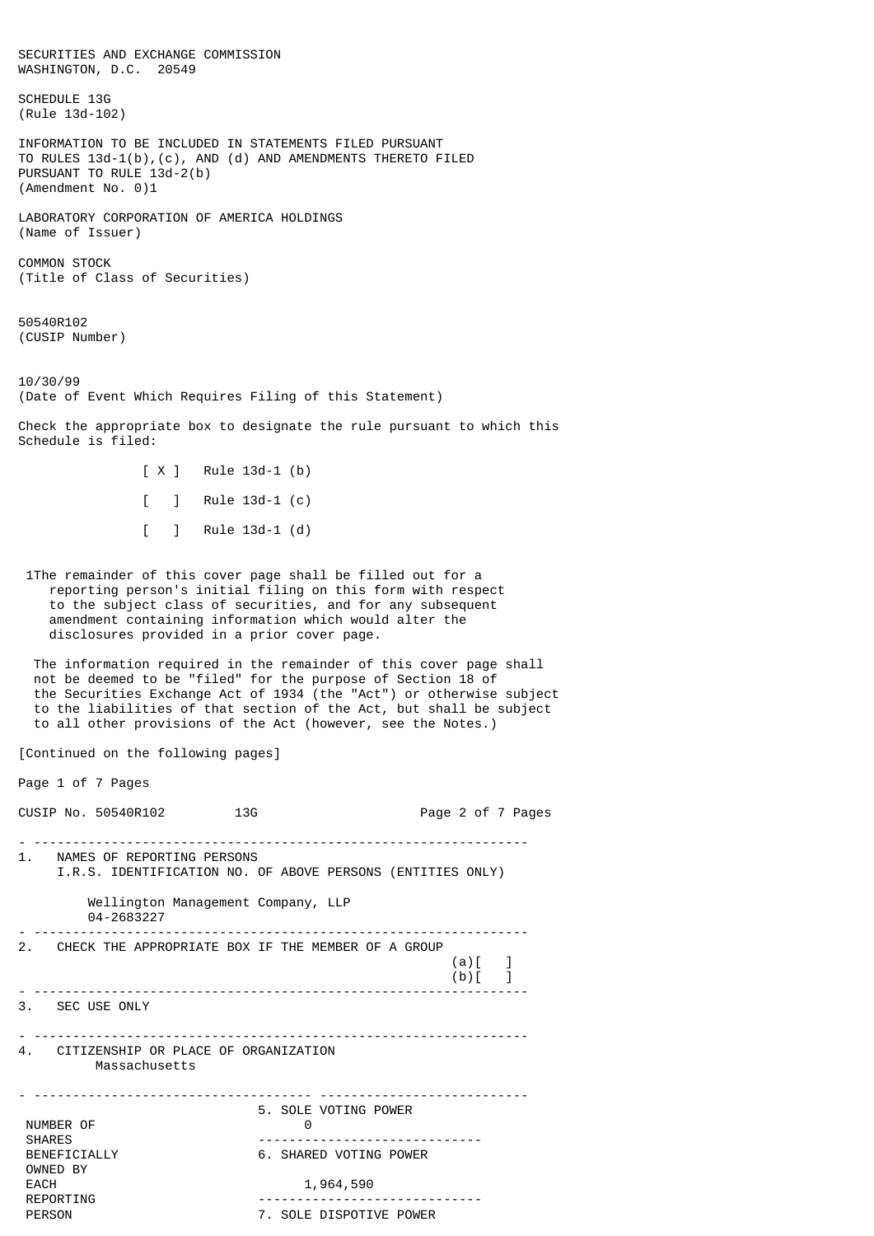SECURITIES AND EXCHANGE COMMISSION WASHINGTON, D.C. 20549 SCHEDULE 13G (Rule 13d-102) INFORMATION TO BE INCLUDED IN STATEMENTS FILED PURSUANT TO RULES 13d-1(b),(c), AND (d) AND AMENDMENTS THERETO FILED PURSUANT TO RULE 13d-2(b) (Amendment No. 0)1 LABORATORY CORPORATION OF AMERICA HOLDINGS (Name of Issuer) COMMON STOCK (Title of Class of Securities) 50540R102 (CUSIP Number) 10/30/99 (Date of Event Which Requires Filing of this Statement) Check the appropriate box to designate the rule pursuant to which this Schedule is filed: [ X ] Rule 13d-1 (b) [ ] Rule 13d-1 (c) [ ] Rule 13d-1 (d) 1The remainder of this cover page shall be filled out for a reporting person's initial filing on this form with respect to the subject class of securities, and for any subsequent amendment containing information which would alter the disclosures provided in a prior cover page. The information required in the remainder of this cover page shall not be deemed to be "filed" for the purpose of Section 18 of the Securities Exchange Act of 1934 (the "Act") or otherwise subject to the liabilities of that section of the Act, but shall be subject to all other provisions of the Act (however, see the Notes.) [Continued on the following pages] Page 1 of 7 Pages CUSIP No. 50540R102 13G 200 2 2 of 7 Pages - ---------------------------------------------------------------- 1. NAMES OF REPORTING PERSONS I.R.S. IDENTIFICATION NO. OF ABOVE PERSONS (ENTITIES ONLY) Wellington Management Company, LLP 04-2683227 - ---------------------------------------------------------------- 2. CHECK THE APPROPRIATE BOX IF THE MEMBER OF A GROUP  $(a)[ ]$  $\left(\begin{matrix}b\end{matrix}\right)$ - ---------------------------------------------------------------- 3. SEC USE ONLY - ---------------------------------------------------------------- 4. CITIZENSHIP OR PLACE OF ORGANIZATION Massachusetts - ------------------------------------ --------------------------- 5. SOLE VOTING POWER NUMBER OF 0 SHARES ----------------------------- 6. SHARED VOTING POWER OWNED BY EACH 1,964,590 REPORTING -----------------------------

PERSON **PERSON** 7. SOLE DISPOTIVE POWER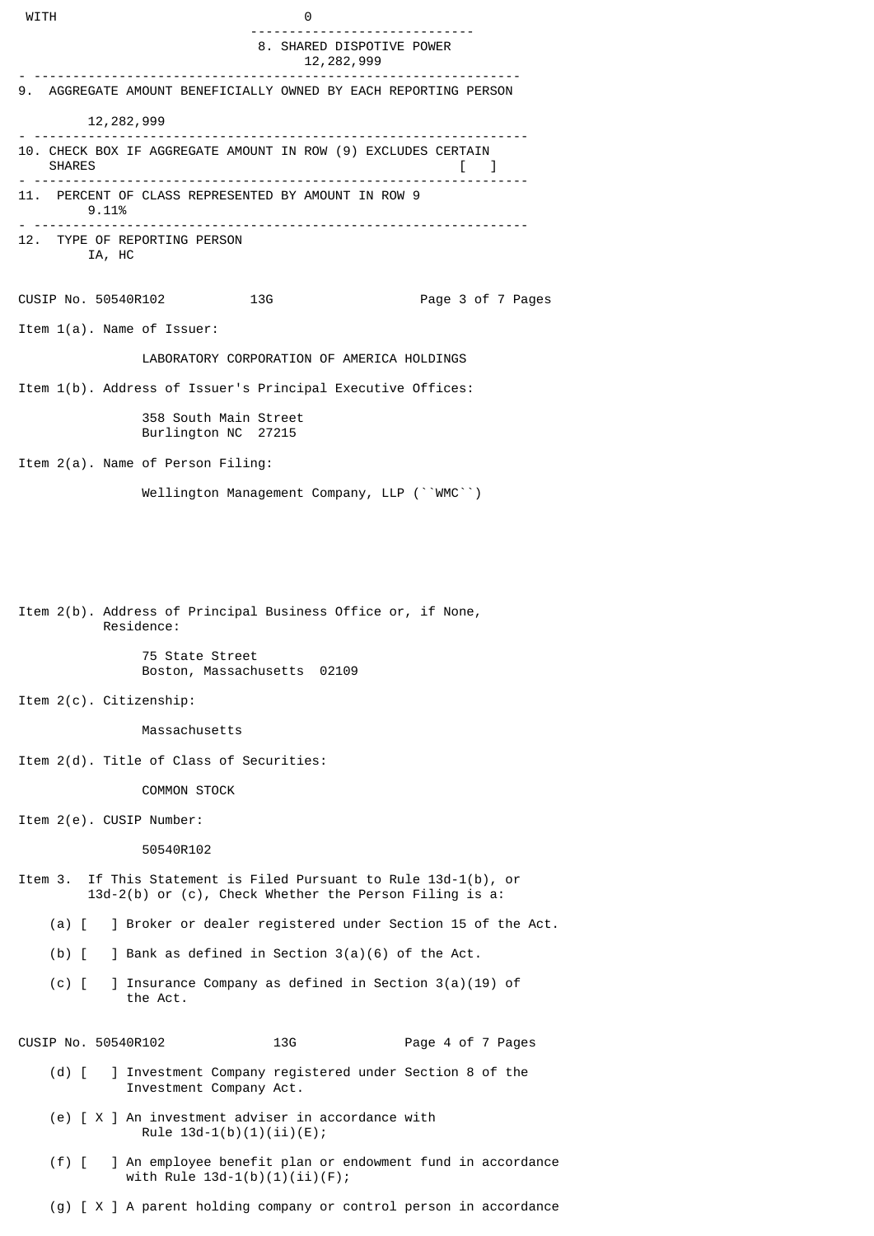WITH 0 ----------------------------- 8. SHARED DISPOTIVE POWER 12,282,999 - --------------------------------------------------------------- 9. AGGREGATE AMOUNT BENEFICIALLY OWNED BY EACH REPORTING PERSON  $12,282,999$ - ---------------------------------------------------------------- 10. CHECK BOX IF AGGREGATE AMOUNT IN ROW (9) EXCLUDES CERTAIN<br>SHARES  $\blacksquare$  [ ] - ---------------------------------------------------------------- 11. PERCENT OF CLASS REPRESENTED BY AMOUNT IN ROW 9 9.11% - ---------------------------------------------------------------- 12. TYPE OF REPORTING PERSON IA, HC CUSIP No. 50540R102 13G Page 3 of 7 Pages Item 1(a). Name of Issuer: LABORATORY CORPORATION OF AMERICA HOLDINGS Item 1(b). Address of Issuer's Principal Executive Offices: 358 South Main Street Burlington NC 27215 Item 2(a). Name of Person Filing: Wellington Management Company, LLP (``WMC``) Item 2(b). Address of Principal Business Office or, if None, Residence: 75 State Street Boston, Massachusetts 02109 Item 2(c). Citizenship: Massachusetts Item 2(d). Title of Class of Securities: COMMON STOCK Item 2(e). CUSIP Number: 50540R102 Item 3. If This Statement is Filed Pursuant to Rule 13d-1(b), or 13d-2(b) or (c), Check Whether the Person Filing is a: (a) [ ] Broker or dealer registered under Section 15 of the Act. (b) [ ] Bank as defined in Section 3(a)(6) of the Act. (c) [ ] Insurance Company as defined in Section 3(a)(19) of the Act. CUSIP No. 50540R102 13G Page 4 of 7 Pages (d) [ ] Investment Company registered under Section 8 of the Investment Company Act. (e) [ X ] An investment adviser in accordance with

 (f) [ ] An employee benefit plan or endowment fund in accordance with Rule 13d-1(b)(1)(ii)(F);

Rule  $13d-1(b)(1)(ii)(E);$ 

(g) [ X ] A parent holding company or control person in accordance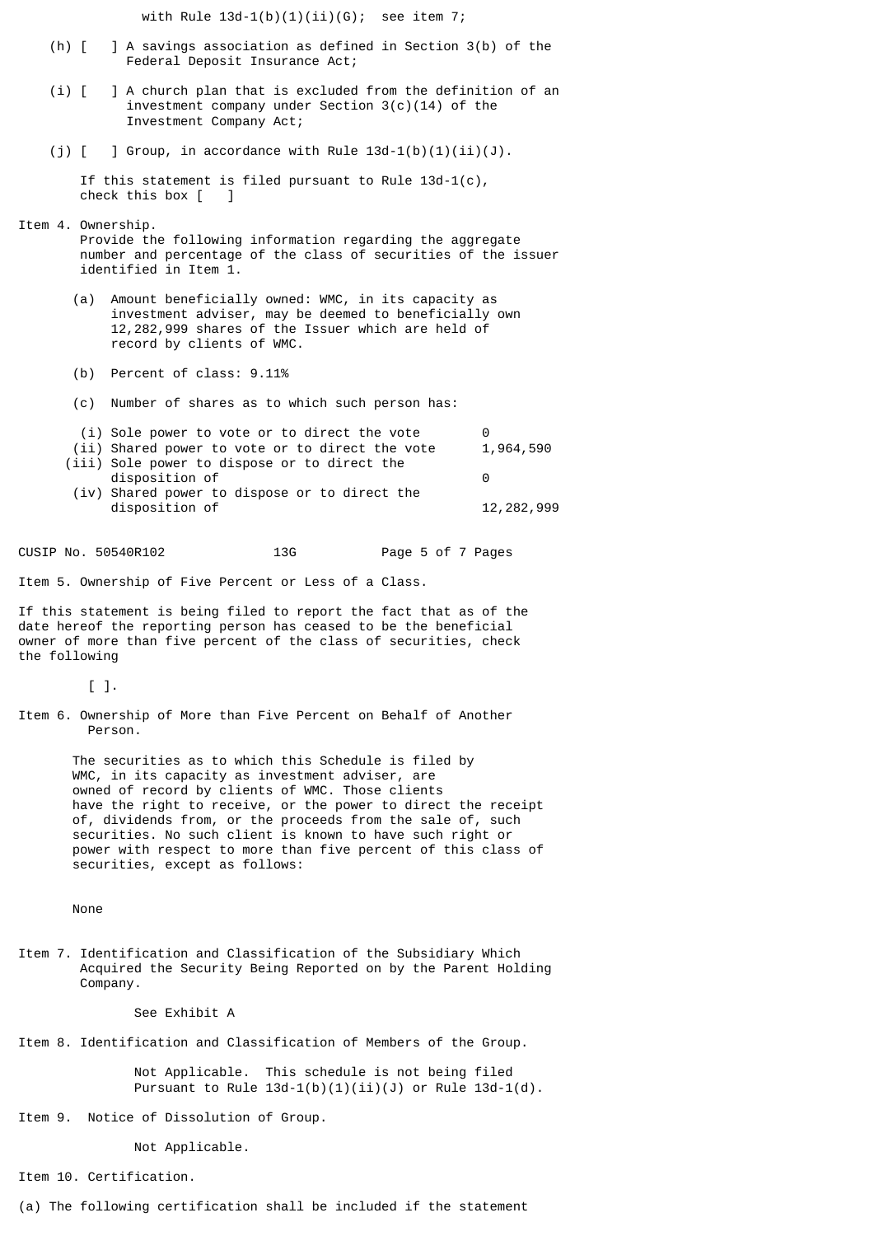with Rule  $13d-1(b)(1)(ii)(G)$ ; see item 7;

- (h) [ ] A savings association as defined in Section 3(b) of the Federal Deposit Insurance Act;
- (i) [ ] A church plan that is excluded from the definition of an investment company under Section 3(c)(14) of the Investment Company Act;
- (j)  $[$  ] Group, in accordance with Rule  $13d-1(b)(1)(ii)(J)$ .

 If this statement is filed pursuant to Rule 13d-1(c), check this box [ ]

Item 4. Ownership.

 Provide the following information regarding the aggregate number and percentage of the class of securities of the issuer identified in Item 1.

- (a) Amount beneficially owned: WMC, in its capacity as investment adviser, may be deemed to beneficially own 12,282,999 shares of the Issuer which are held of record by clients of WMC.
- (b) Percent of class: 9.11%
- (c) Number of shares as to which such person has:
- (i) Sole power to vote or to direct the vote (ii) Shared power to vote or to direct the vote  $1,964,590$  (iii) Sole power to dispose or to direct the disposition of 0 (iv) Shared power to dispose or to direct the disposition of  $12,282,999$

CUSIP No. 50540R102 13G Page 5 of 7 Pages

Item 5. Ownership of Five Percent or Less of a Class.

If this statement is being filed to report the fact that as of the date hereof the reporting person has ceased to be the beneficial owner of more than five percent of the class of securities, check the following

 $\lceil$  1.

Item 6. Ownership of More than Five Percent on Behalf of Another Person.

> The securities as to which this Schedule is filed by WMC, in its capacity as investment adviser, are owned of record by clients of WMC. Those clients have the right to receive, or the power to direct the receipt of, dividends from, or the proceeds from the sale of, such securities. No such client is known to have such right or power with respect to more than five percent of this class of securities, except as follows:

None

Item 7. Identification and Classification of the Subsidiary Which Acquired the Security Being Reported on by the Parent Holding Company.

See Exhibit A

Item 8. Identification and Classification of Members of the Group.

 Not Applicable. This schedule is not being filed Pursuant to Rule  $13d-1(b)(1)(ii)(J)$  or Rule  $13d-1(d)$ .

Item 9. Notice of Dissolution of Group.

Not Applicable.

Item 10. Certification.

(a) The following certification shall be included if the statement